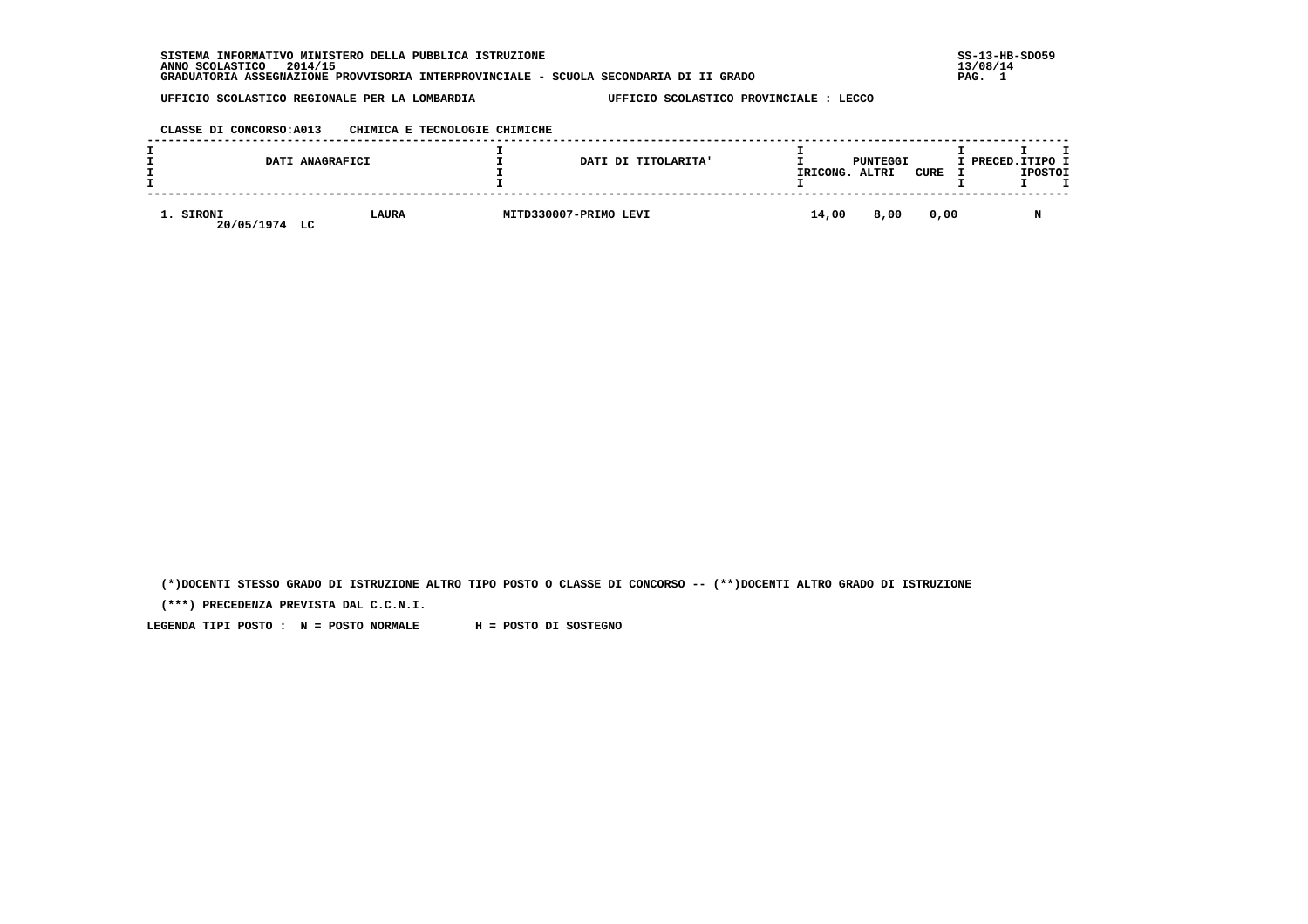**SISTEMA INFORMATIVO MINISTERO DELLA PUBBLICA ISTRUZIONE SS-13-HB-SDO59 ANNO SCOLASTICO 2014/15 13/08/14 GRADUATORIA ASSEGNAZIONE PROVVISORIA INTERPROVINCIALE - SCUOLA SECONDARIA DI II GRADO PAG. 1**

 **UFFICIO SCOLASTICO REGIONALE PER LA LOMBARDIA UFFICIO SCOLASTICO PROVINCIALE : LECCO**

### **CLASSE DI CONCORSO:A013 CHIMICA E TECNOLOGIE CHIMICHE**

|                         | DATI ANAGRAFICI    | DATI DI TITOLARITA'   | IRICONG. | PUNTEGGI<br>ALTRI | CURE | I PRECED.ITIPO I | <b>IPOSTOI</b> |  |
|-------------------------|--------------------|-----------------------|----------|-------------------|------|------------------|----------------|--|
| 1. SIRONI<br>20/05/1974 | <b>LAURA</b><br>LC | MITD330007-PRIMO LEVI | 14,00    | 8,00              | 0.00 |                  |                |  |

 **(\*)DOCENTI STESSO GRADO DI ISTRUZIONE ALTRO TIPO POSTO O CLASSE DI CONCORSO -- (\*\*)DOCENTI ALTRO GRADO DI ISTRUZIONE**

 **(\*\*\*) PRECEDENZA PREVISTA DAL C.C.N.I.**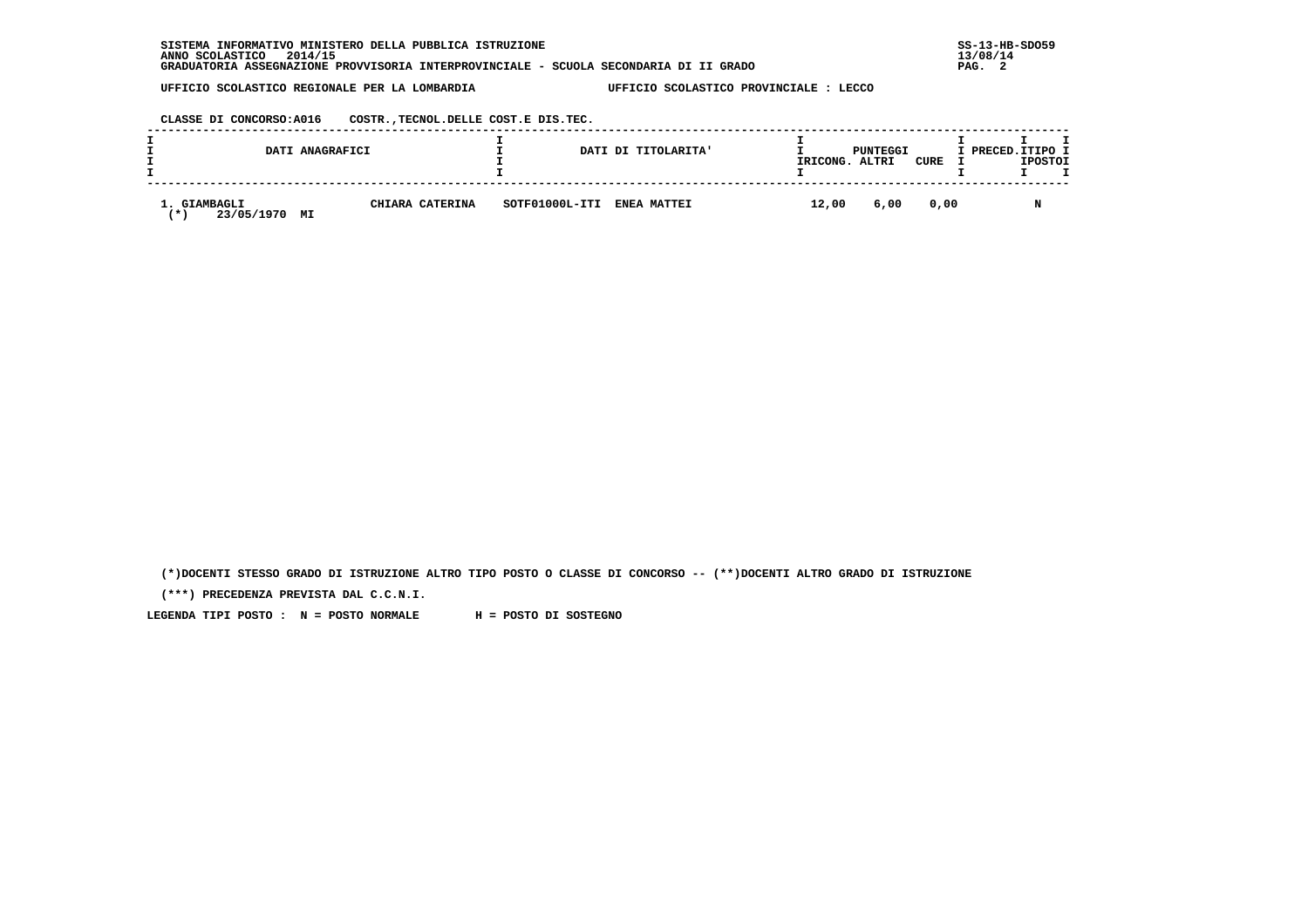| INFORMATIVO MINISTERO DELLA PUBBLICA ISTRUZIONE<br><b>SISTEMA</b>                     | $SS-13-HE$ |
|---------------------------------------------------------------------------------------|------------|
| 2014/15<br>ANNO SCOLASTICO                                                            | 13/08/14   |
| GRADUATORIA ASSEGNAZIONE PROVVISORIA INTERPROVINCIALE - SCUOLA SECONDARIA DI II GRADO | PAG.       |

 **CLASSE DI CONCORSO:A016 COSTR.,TECNOL.DELLE COST.E DIS.TEC.**

| DATI ANAGRAFICI                      |                 |                | DATI DI TITOLARITA' | IRICONG. ALTRI | PUNTEGGI | CURE | I PRECED.ITIPO I<br><b>IPOSTOI</b> |
|--------------------------------------|-----------------|----------------|---------------------|----------------|----------|------|------------------------------------|
| GIAMBAGLI<br>23/05/1970<br>′ ★<br>МI | CHIARA CATERINA | SOTF01000L-ITI | <b>ENEA MATTEI</b>  | 12,00          | 6,00     | 0,00 | N                                  |

 **(\*)DOCENTI STESSO GRADO DI ISTRUZIONE ALTRO TIPO POSTO O CLASSE DI CONCORSO -- (\*\*)DOCENTI ALTRO GRADO DI ISTRUZIONE**

 **(\*\*\*) PRECEDENZA PREVISTA DAL C.C.N.I.**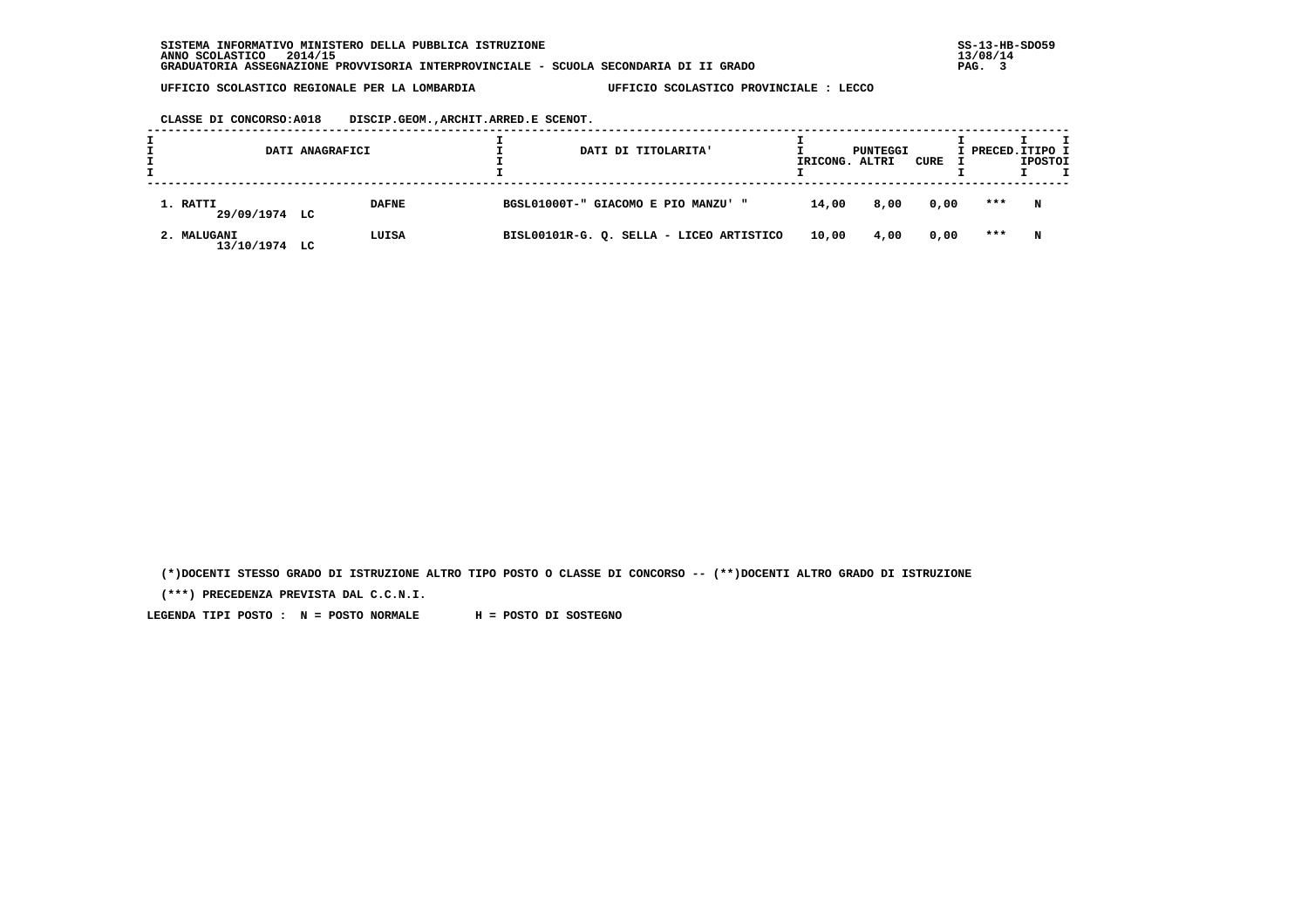**CLASSE DI CONCORSO:A018 DISCIP.GEOM.,ARCHIT.ARRED.E SCENOT.**

| DATI ANAGRAFICI              |              |  |                                     | DATI DI TITOLARITA'                      | IRICONG. ALTRI | PUNTEGGI | CURE | I PRECED.ITIPO I | <b>IPOSTOI</b> |  |
|------------------------------|--------------|--|-------------------------------------|------------------------------------------|----------------|----------|------|------------------|----------------|--|
| 1. RATTI<br>29/09/1974 LC    | <b>DAFNE</b> |  | BGSL01000T-" GIACOMO E PIO MANZU' " |                                          | 14,00          | 8,00     | 0,00 | ***              | N              |  |
| 2. MALUGANI<br>13/10/1974 LC | LUISA        |  |                                     | BISL00101R-G. Q. SELLA - LICEO ARTISTICO | 10,00          | 4,00     | 0,00 | ***              | N              |  |

 **(\*)DOCENTI STESSO GRADO DI ISTRUZIONE ALTRO TIPO POSTO O CLASSE DI CONCORSO -- (\*\*)DOCENTI ALTRO GRADO DI ISTRUZIONE**

 **(\*\*\*) PRECEDENZA PREVISTA DAL C.C.N.I.**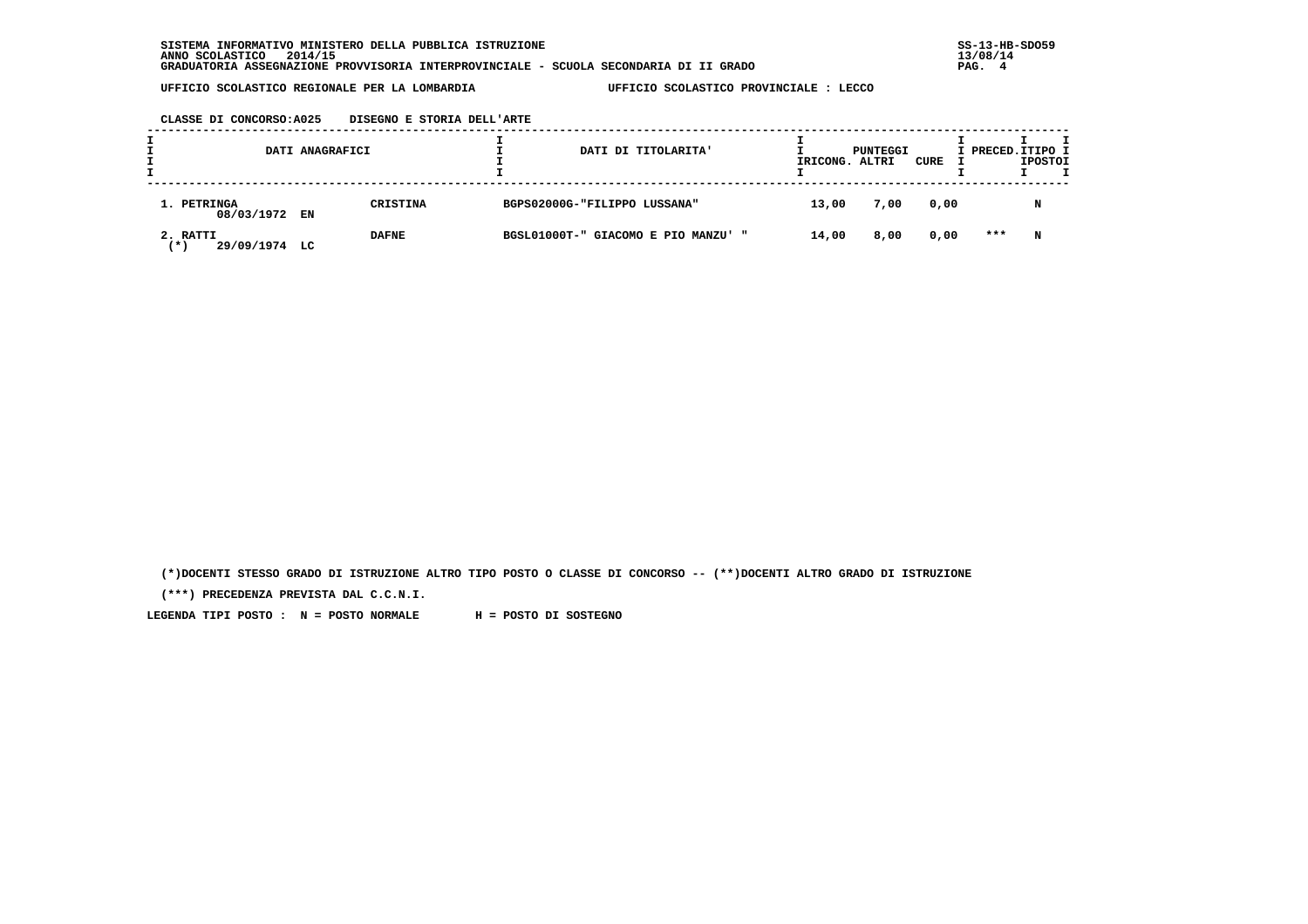**CLASSE DI CONCORSO:A025 DISEGNO E STORIA DELL'ARTE**

| DATI ANAGRAFICI                  |  | DATI DI TITOLARITA' | IRICONG. ALTRI                      | PUNTEGGI | CURE | I PRECED.ITIPO I | <b>IPOSTOI</b> |   |  |
|----------------------------------|--|---------------------|-------------------------------------|----------|------|------------------|----------------|---|--|
| 1. PETRINGA<br>08/03/1972 EN     |  | <b>CRISTINA</b>     | BGPS02000G-"FILIPPO LUSSANA"        | 13,00    | 7,00 | 0,00             |                | N |  |
| 2. RATTI<br>29/09/1974 LC<br>(*) |  | <b>DAFNE</b>        | BGSL01000T-" GIACOMO E PIO MANZU' " | 14,00    | 8,00 | 0,00             | ***            | N |  |

 **(\*)DOCENTI STESSO GRADO DI ISTRUZIONE ALTRO TIPO POSTO O CLASSE DI CONCORSO -- (\*\*)DOCENTI ALTRO GRADO DI ISTRUZIONE**

 **(\*\*\*) PRECEDENZA PREVISTA DAL C.C.N.I.**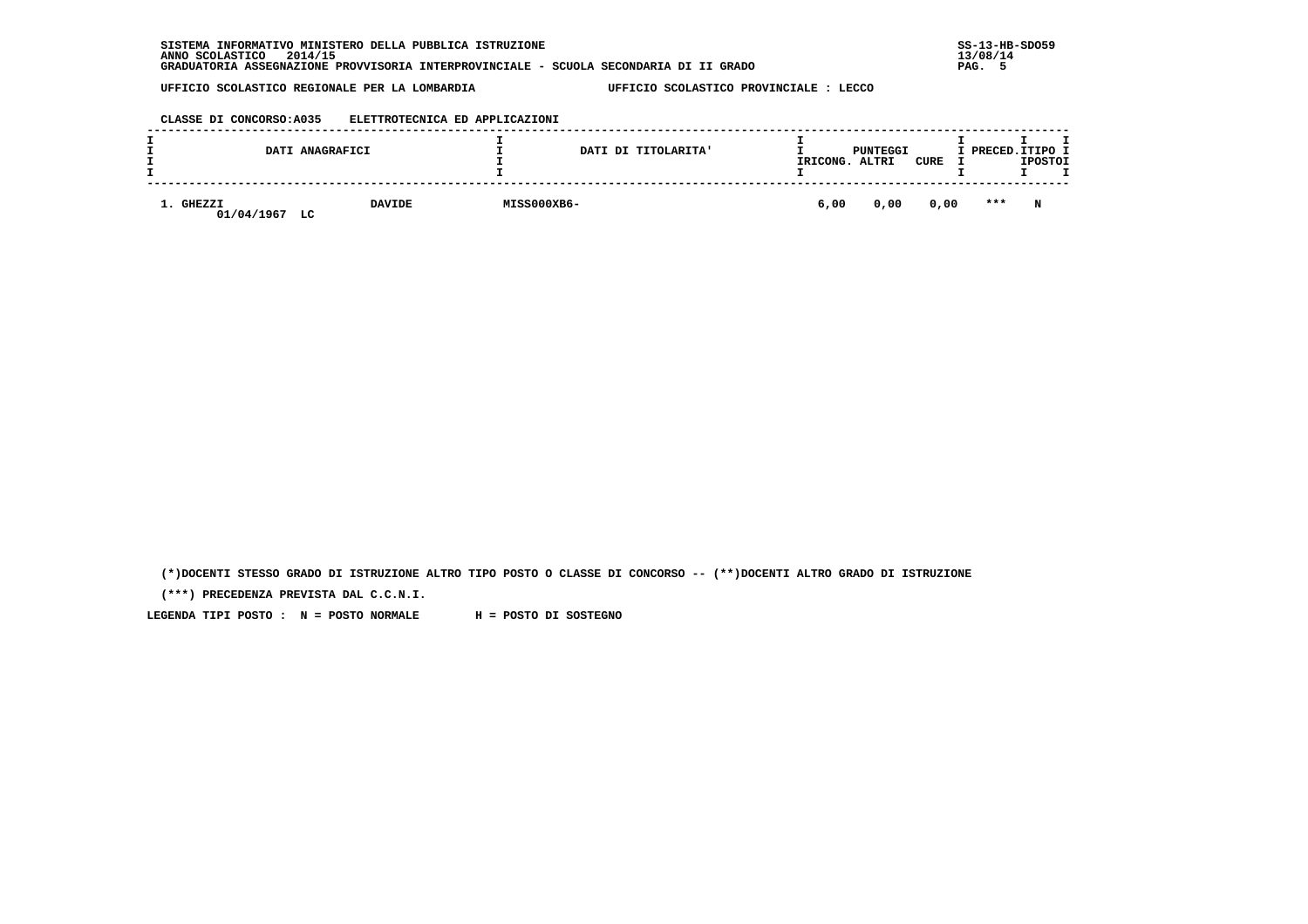| INFORMATIVO MINISTERO DELLA PUBBLICA ISTRUZIONE<br><b>SISTEMA</b>                     | $SS-13-HE$ |
|---------------------------------------------------------------------------------------|------------|
| 2014/15<br>ANNO SCOLASTICO                                                            | 13/08/14   |
| GRADUATORIA ASSEGNAZIONE PROVVISORIA INTERPROVINCIALE - SCUOLA SECONDARIA DI II GRADO | PAG.       |

## **CLASSE DI CONCORSO:A035 ELETTROTECNICA ED APPLICAZIONI**

|         |                             | DATI ANAGRAFICI     |             | DATI DI TITOLARITA' | IRICONG. | PUNTEGGI<br>ALTRI | CURE | I PRECED.ITIPO I | <b>IPOSTOI</b> |  |
|---------|-----------------------------|---------------------|-------------|---------------------|----------|-------------------|------|------------------|----------------|--|
| <b></b> | <b>GHEZZI</b><br>01/04/1967 | <b>DAVIDE</b><br>LC | MISS000XB6- |                     | 6,00     | 0,00              | 0,00 | $***$            | N              |  |

 **(\*)DOCENTI STESSO GRADO DI ISTRUZIONE ALTRO TIPO POSTO O CLASSE DI CONCORSO -- (\*\*)DOCENTI ALTRO GRADO DI ISTRUZIONE**

 **(\*\*\*) PRECEDENZA PREVISTA DAL C.C.N.I.**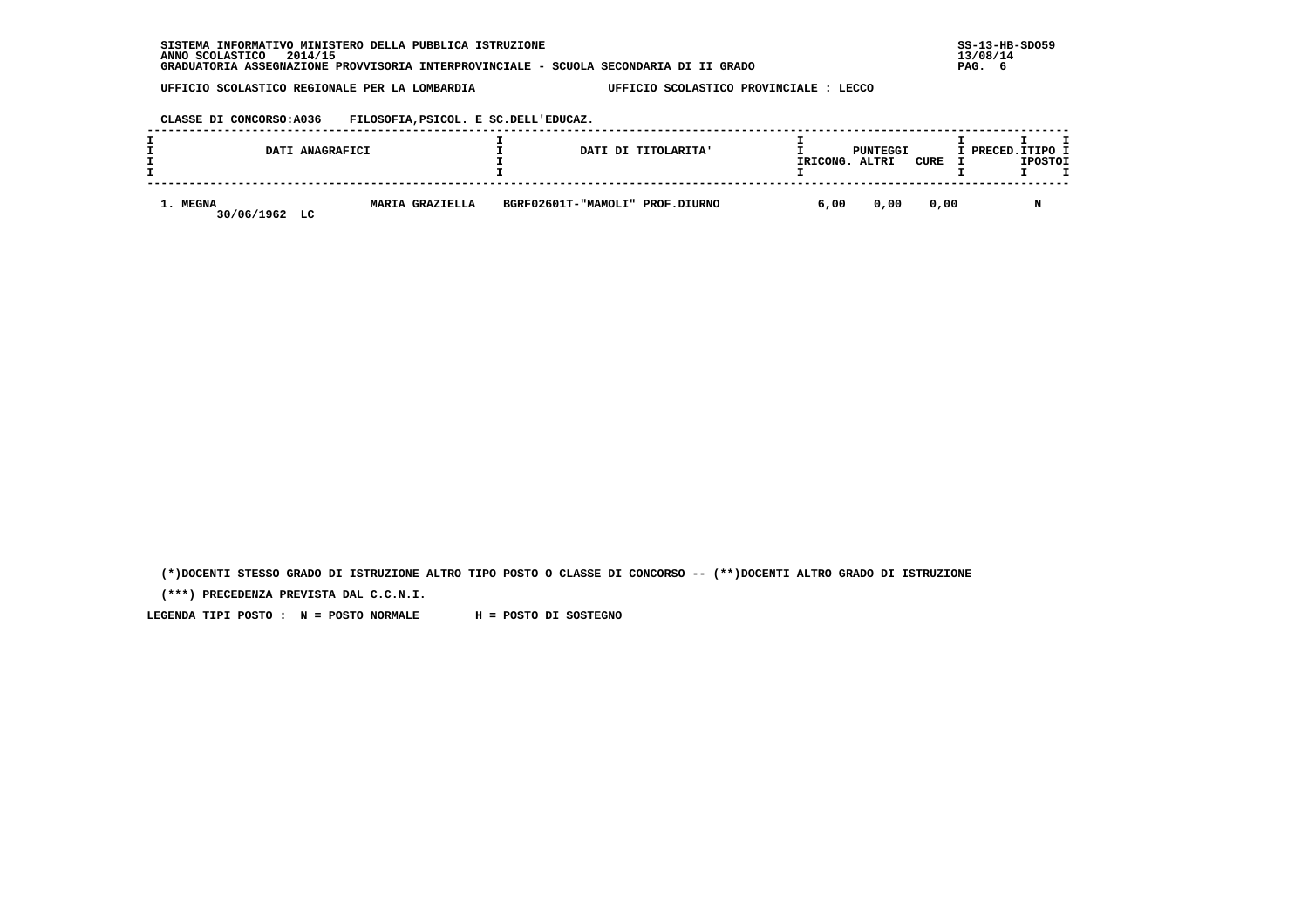**CLASSE DI CONCORSO:A036 FILOSOFIA,PSICOL. E SC.DELL'EDUCAZ.**

|                        | DATI ANAGRAFICI |                 |                                 | DATI DI TITOLARITA' | IRICONG. | PUNTEGGI<br>ALTRI | CURE | I PRECED.ITIPO I | <b>IPOSTOI</b> |  |
|------------------------|-----------------|-----------------|---------------------------------|---------------------|----------|-------------------|------|------------------|----------------|--|
| 1. MEGNA<br>30/06/1962 | LC              | MARIA GRAZIELLA | BGRF02601T-"MAMOLI" PROF.DIURNO |                     | 6,00     | 0,00              | 0.00 |                  |                |  |

 **(\*)DOCENTI STESSO GRADO DI ISTRUZIONE ALTRO TIPO POSTO O CLASSE DI CONCORSO -- (\*\*)DOCENTI ALTRO GRADO DI ISTRUZIONE**

 **(\*\*\*) PRECEDENZA PREVISTA DAL C.C.N.I.**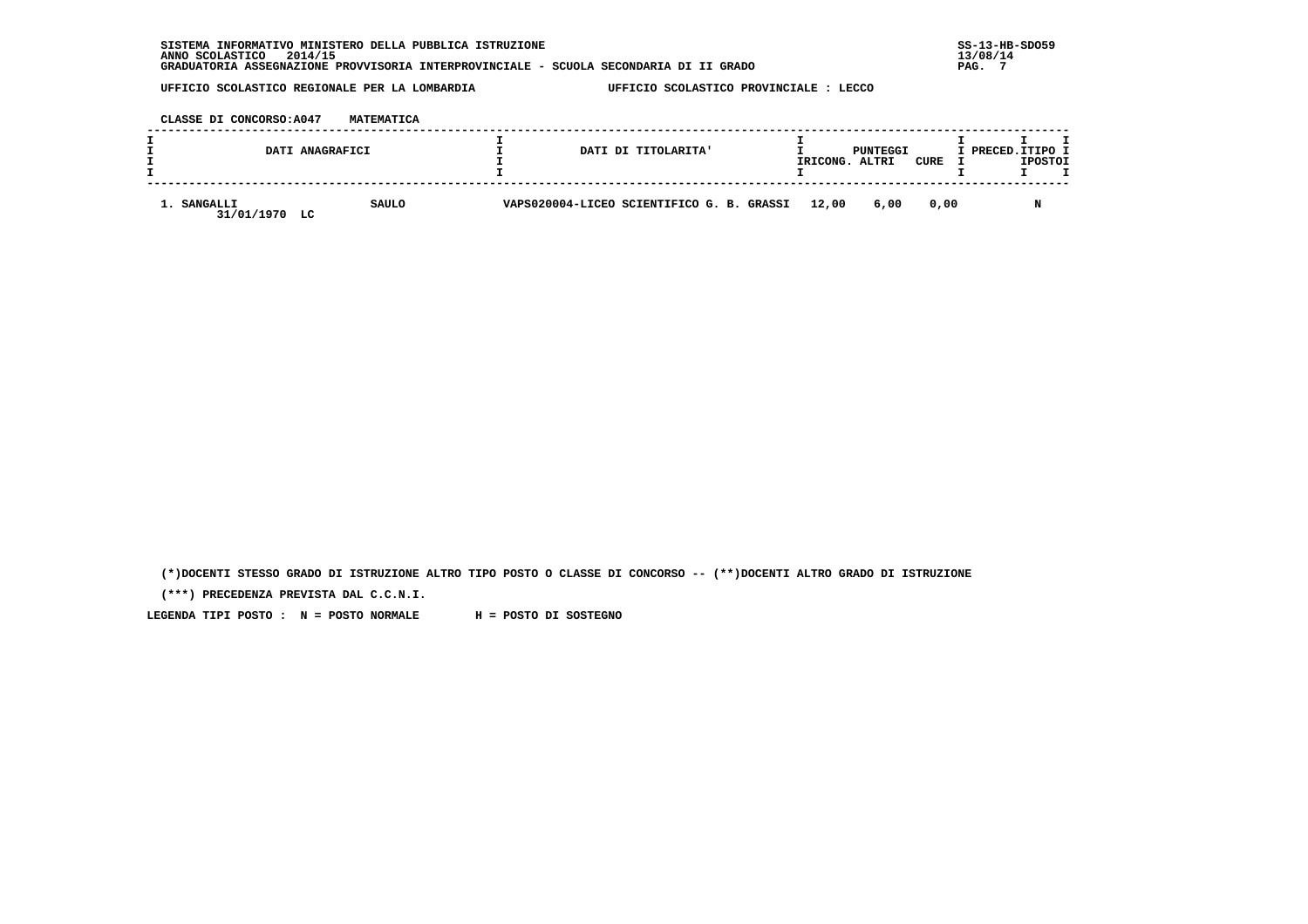| INFORMATIVO MINISTERO DELLA PUBBLICA ISTRUZIONE<br><b>SISTEMA</b>                     | $SS-13-HE$ |
|---------------------------------------------------------------------------------------|------------|
| 2014/15<br>ANNO SCOLASTICO                                                            | 13/08/14   |
| GRADUATORIA ASSEGNAZIONE PROVVISORIA INTERPROVINCIALE - SCUOLA SECONDARIA DI II GRADO | PAG.       |

 **CLASSE DI CONCORSO:A047 MATEMATICA**

|                                 | DATI ANAGRAFICI | DATI DI TITOLARITA'                             | IRICONG. | PUNTEGGI<br>ALTRI | CURE | I PRECED.ITIPO I | <b>IPOSTOI</b> |  |
|---------------------------------|-----------------|-------------------------------------------------|----------|-------------------|------|------------------|----------------|--|
| 1. SANGALLI<br>31/01/1970<br>LC | <b>SAULO</b>    | VAPS020004-LICEO SCIENTIFICO G. B. GRASSI 12,00 |          | 6,00              | 0.00 |                  |                |  |

 **(\*)DOCENTI STESSO GRADO DI ISTRUZIONE ALTRO TIPO POSTO O CLASSE DI CONCORSO -- (\*\*)DOCENTI ALTRO GRADO DI ISTRUZIONE**

 **(\*\*\*) PRECEDENZA PREVISTA DAL C.C.N.I.**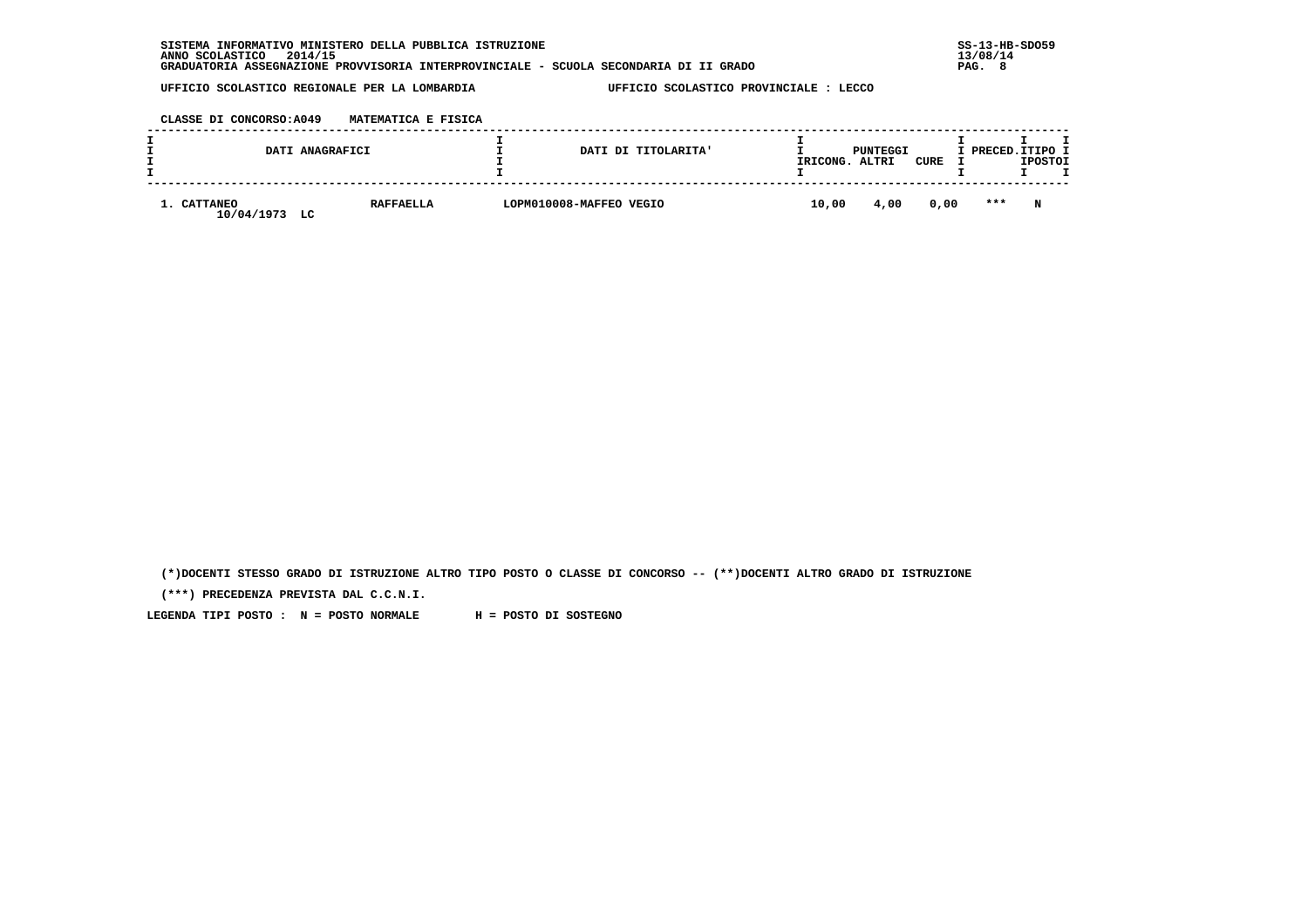| <b>SISTEMA</b><br>INFORMATIVO MINISTERO DELLA PUBBLICA ISTRUZIONE                     | $SS-13-HB-SDO59$ |
|---------------------------------------------------------------------------------------|------------------|
| 2014/15<br>ANNO SCOLASTICO                                                            | 13/08/14         |
| GRADUATORIA ASSEGNAZIONE PROVVISORIA INTERPROVINCIALE - SCUOLA SECONDARIA DI II GRADO | PAG.             |

 **CLASSE DI CONCORSO:A049 MATEMATICA E FISICA**

|                           | DATI ANAGRAFICI        | DATI DI TITOLARITA'     | IRICONG. | PUNTEGGI<br>ALTRI | CURE | I PRECED.ITIPO I | <b>IPOSTOI</b> |  |
|---------------------------|------------------------|-------------------------|----------|-------------------|------|------------------|----------------|--|
| 1. CATTANEO<br>10/04/1973 | <b>RAFFAELLA</b><br>LC | LOPM010008-MAFFEO VEGIO | 10,00    | 4,00              | 0,00 | $***$            | N              |  |

 **(\*)DOCENTI STESSO GRADO DI ISTRUZIONE ALTRO TIPO POSTO O CLASSE DI CONCORSO -- (\*\*)DOCENTI ALTRO GRADO DI ISTRUZIONE**

 **(\*\*\*) PRECEDENZA PREVISTA DAL C.C.N.I.**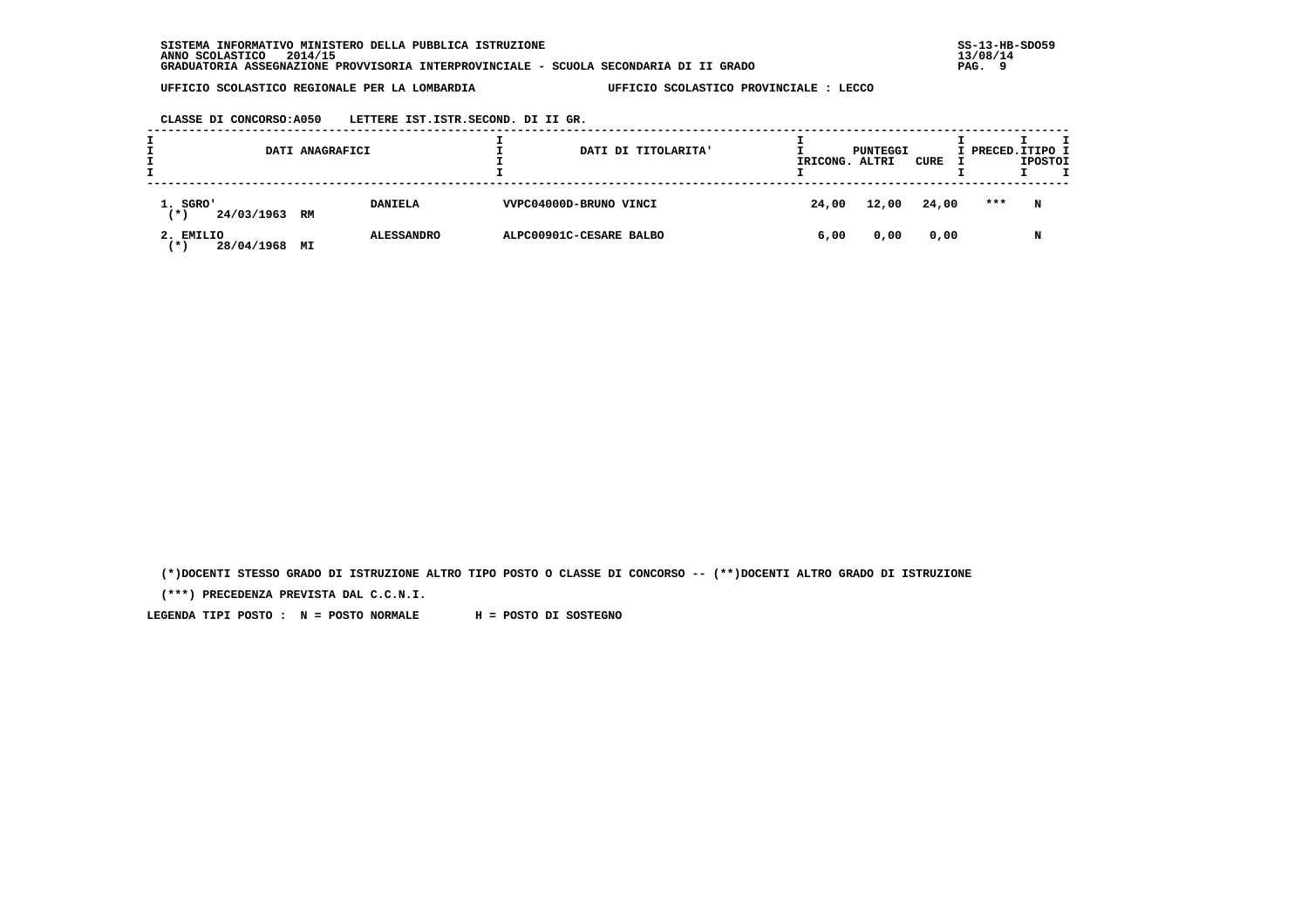**CLASSE DI CONCORSO:A050 LETTERE IST.ISTR.SECOND. DI II GR.**

| DATI ANAGRAFICI                            |    | DATI DI TITOLARITA' | IRICONG. ALTRI          | PUNTEGGI | CURE  | I PRECED.ITIPO I | <b>IPOSTOI</b> |   |
|--------------------------------------------|----|---------------------|-------------------------|----------|-------|------------------|----------------|---|
| 1. SGRO'<br>24/03/1963 RM<br>(*)           |    | <b>DANIELA</b>      | VVPC04000D-BRUNO VINCI  | 24,00    | 12,00 | 24,00            | ***            | N |
| 2. EMILIO<br>28/04/1968<br>$^{\prime}$ x . | МI | <b>ALESSANDRO</b>   | ALPC00901C-CESARE BALBO | 6,00     | 0,00  | 0,00             |                | N |

 **(\*)DOCENTI STESSO GRADO DI ISTRUZIONE ALTRO TIPO POSTO O CLASSE DI CONCORSO -- (\*\*)DOCENTI ALTRO GRADO DI ISTRUZIONE**

 **(\*\*\*) PRECEDENZA PREVISTA DAL C.C.N.I.**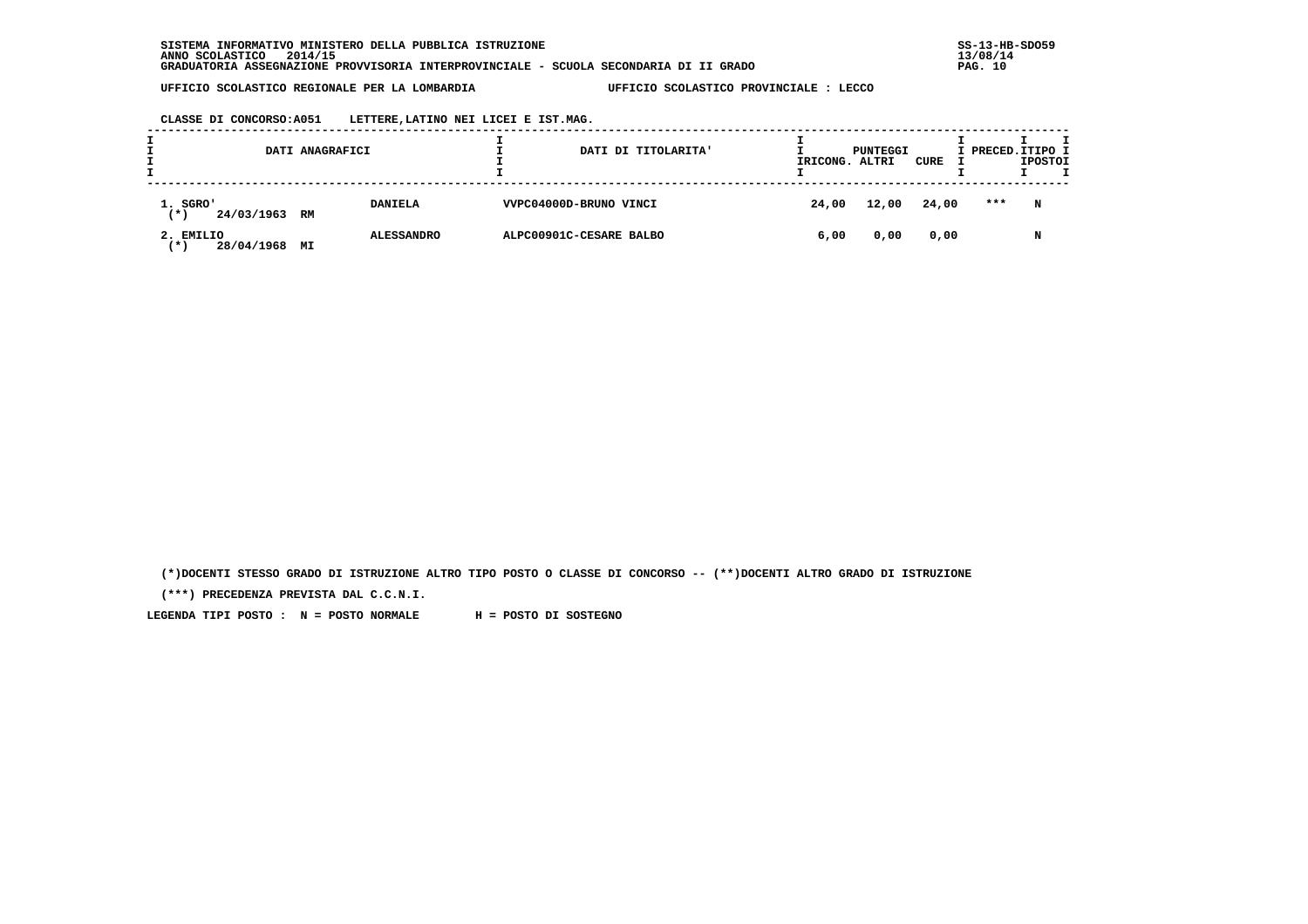**CLASSE DI CONCORSO:A051 LETTERE,LATINO NEI LICEI E IST.MAG.**

| DATI ANAGRAFICI                                                                      |  |                | DATI DI TITOLARITA'    | IRICONG. ALTRI | PUNTEGGI | CURE  | I PRECED.ITIPO I | <b>IPOSTOI</b> |
|--------------------------------------------------------------------------------------|--|----------------|------------------------|----------------|----------|-------|------------------|----------------|
| 1. SGRO'<br>24/03/1963 RM<br>(*)                                                     |  | <b>DANIELA</b> | VVPC04000D-BRUNO VINCI | 24,00          | 12,00    | 24,00 | ***              | N              |
| ALPC00901C-CESARE BALBO<br>2. EMILIO<br><b>ALESSANDRO</b><br>28/04/1968<br>МI<br>′ ★ |  | 6,00           | 0,00                   | 0,00           |          | N     |                  |                |

 **(\*)DOCENTI STESSO GRADO DI ISTRUZIONE ALTRO TIPO POSTO O CLASSE DI CONCORSO -- (\*\*)DOCENTI ALTRO GRADO DI ISTRUZIONE**

 **(\*\*\*) PRECEDENZA PREVISTA DAL C.C.N.I.**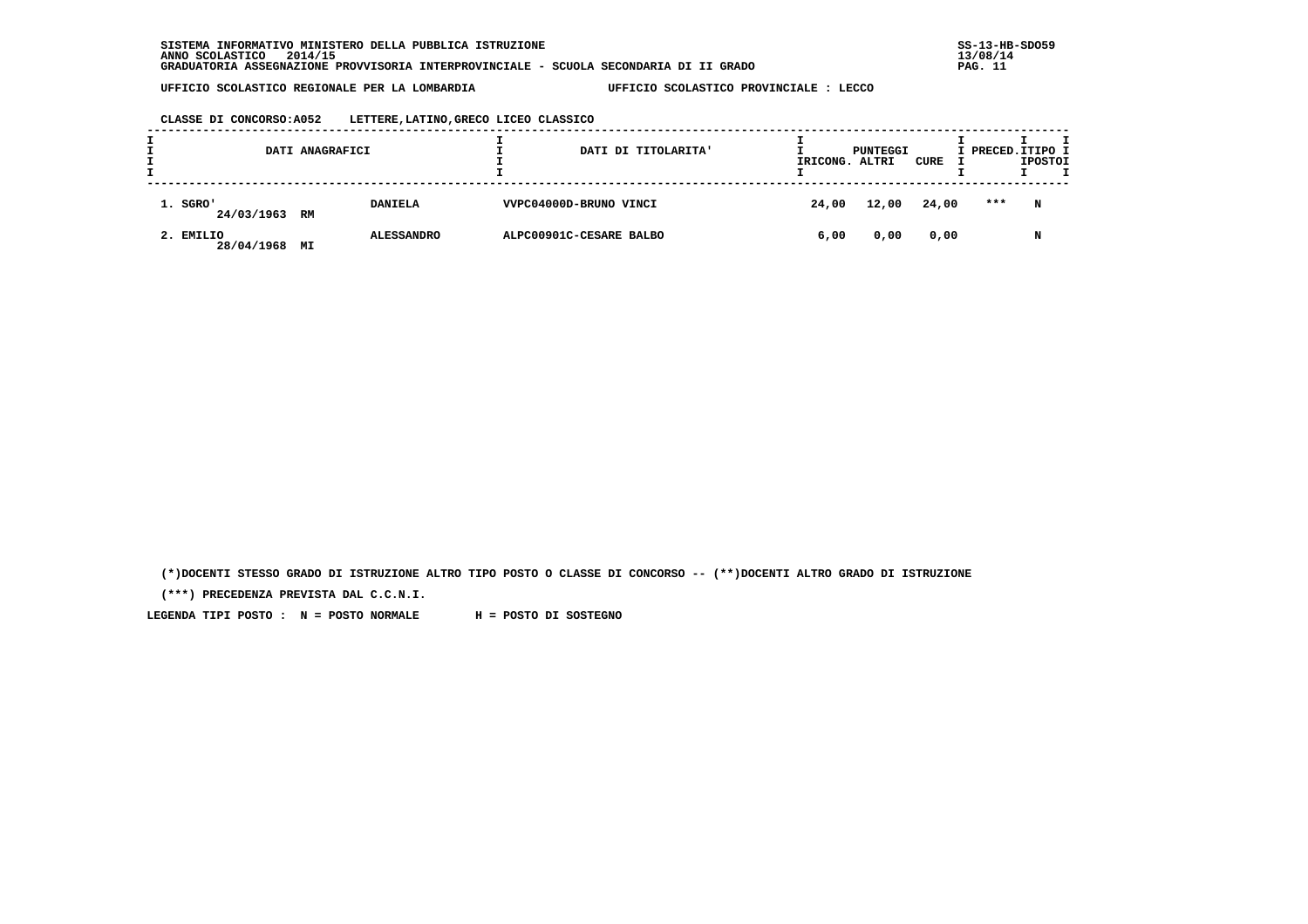## **CLASSE DI CONCORSO:A052 LETTERE,LATINO,GRECO LICEO CLASSICO**

| DATI ANAGRAFICI           |    | DATI DI TITOLARITA' | IRICONG.                | PUNTEGGI<br>ALTRI | CURE  | I PRECED. ITIPO I | <b>IPOSTOI</b> | т |  |
|---------------------------|----|---------------------|-------------------------|-------------------|-------|-------------------|----------------|---|--|
| 1. SGRO'<br>24/03/1963 RM |    | <b>DANIELA</b>      | VVPC04000D-BRUNO VINCI  | 24,00             | 12,00 | 24,00             | ***            | N |  |
| 2. EMILIO<br>28/04/1968   | МI | <b>ALESSANDRO</b>   | ALPC00901C-CESARE BALBO | 6,00              | 0,00  | 0,00              |                | N |  |

 **(\*)DOCENTI STESSO GRADO DI ISTRUZIONE ALTRO TIPO POSTO O CLASSE DI CONCORSO -- (\*\*)DOCENTI ALTRO GRADO DI ISTRUZIONE**

 **(\*\*\*) PRECEDENZA PREVISTA DAL C.C.N.I.**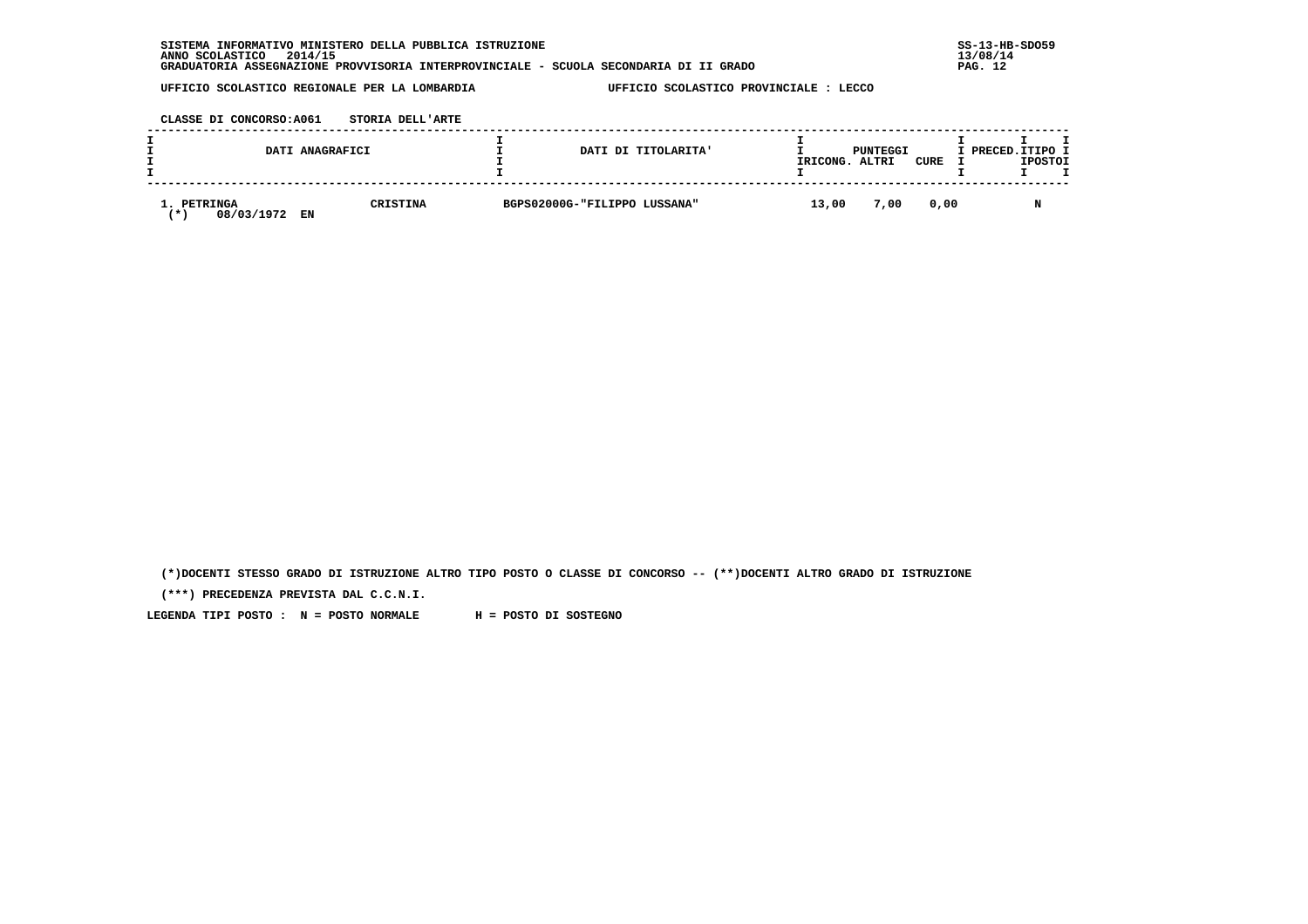| . INFORMATIVO MINISTERO DELLA PUBBLICA ISTRUZIONE<br><b>SISTEMA</b>                   | $SS-13-HE$ |
|---------------------------------------------------------------------------------------|------------|
| 2014/15<br>ANNO SCOLASTICO                                                            | 13/08/14   |
| GRADUATORIA ASSEGNAZIONE PROVVISORIA INTERPROVINCIALE - SCUOLA SECONDARIA DI II GRADO | PAG. 12    |

 **CLASSE DI CONCORSO:A061 STORIA DELL'ARTE**

|                                  | DATI ANAGRAFICI       | DATI DI TITOLARITA'          | IRICONG. | PUNTEGGI<br>ALTRI | <b>CURE</b> | I PRECED.ITIPO I<br><b>IPOSTOI</b> |
|----------------------------------|-----------------------|------------------------------|----------|-------------------|-------------|------------------------------------|
| 1. PETRINGA<br>08/03/1972<br>. ж | <b>CRISTINA</b><br>EN | BGPS02000G-"FILIPPO LUSSANA" | 13,00    | 7,00              | 0,00        |                                    |

 **(\*)DOCENTI STESSO GRADO DI ISTRUZIONE ALTRO TIPO POSTO O CLASSE DI CONCORSO -- (\*\*)DOCENTI ALTRO GRADO DI ISTRUZIONE**

 **(\*\*\*) PRECEDENZA PREVISTA DAL C.C.N.I.**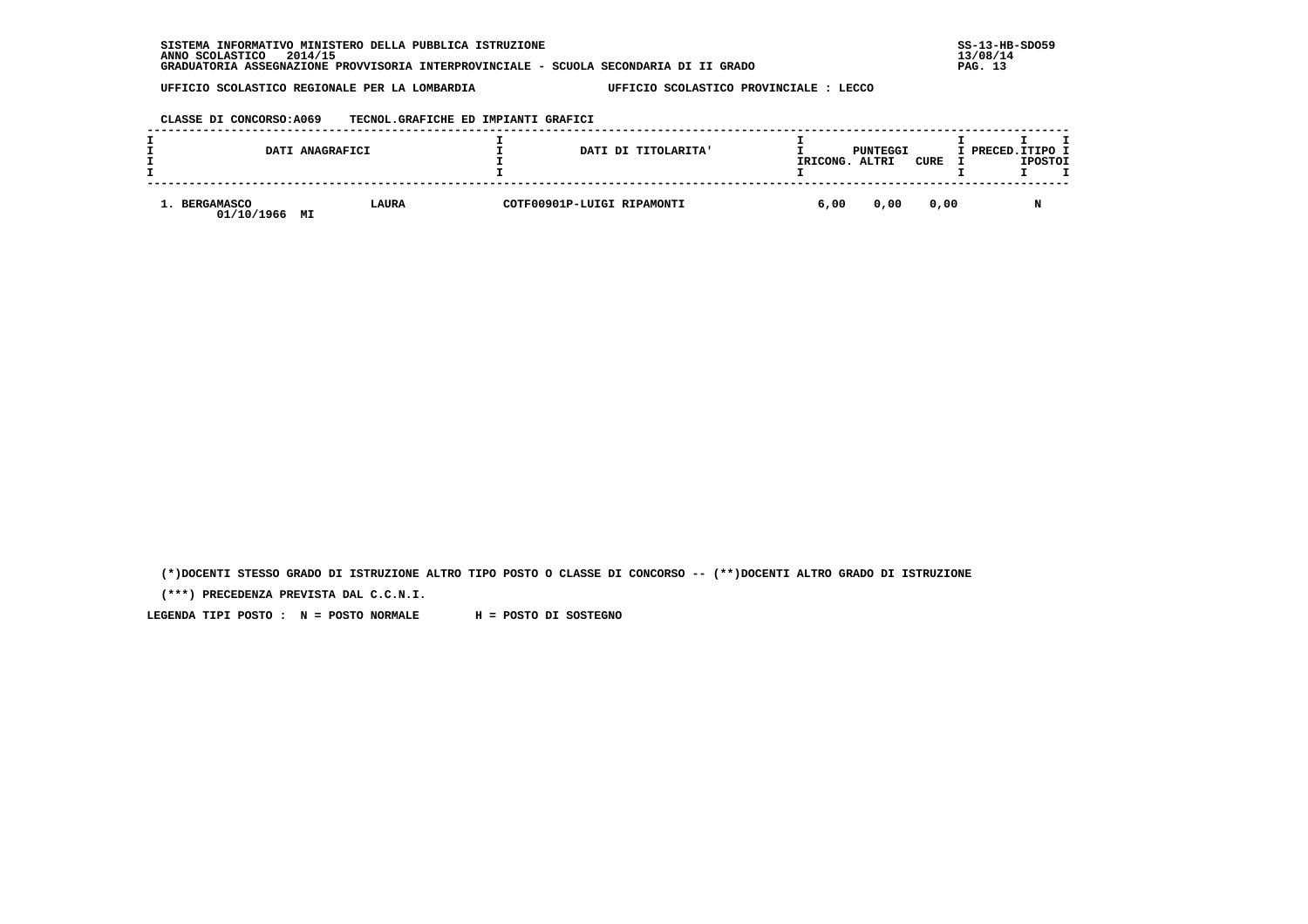| . INFORMATIVO MINISTERO DELLA PUBBLICA ISTRUZIONE<br><b>SISTEMA</b>                   | $SS-13-HE$ |
|---------------------------------------------------------------------------------------|------------|
| 2014/15<br>ANNO SCOLASTICO                                                            | 13/08/14   |
| GRADUATORIA ASSEGNAZIONE PROVVISORIA INTERPROVINCIALE - SCUOLA SECONDARIA DI II GRADO | PAG. 13    |

 **CLASSE DI CONCORSO:A069 TECNOL.GRAFICHE ED IMPIANTI GRAFICI**

|                          | DATI ANAGRAFICI | DATI DI TITOLARITA'        | IRICONG. | PUNTEGGI<br>ALTRI | CURE | I PRECED.ITIPO I | <b>IPOSTOI</b> |  |
|--------------------------|-----------------|----------------------------|----------|-------------------|------|------------------|----------------|--|
| BERGAMASCO<br>01/10/1966 | LAURA<br>MI     | COTF00901P-LUIGI RIPAMONTI | 6,00     | 0,00              | 0,00 |                  |                |  |

 **(\*)DOCENTI STESSO GRADO DI ISTRUZIONE ALTRO TIPO POSTO O CLASSE DI CONCORSO -- (\*\*)DOCENTI ALTRO GRADO DI ISTRUZIONE**

 **(\*\*\*) PRECEDENZA PREVISTA DAL C.C.N.I.**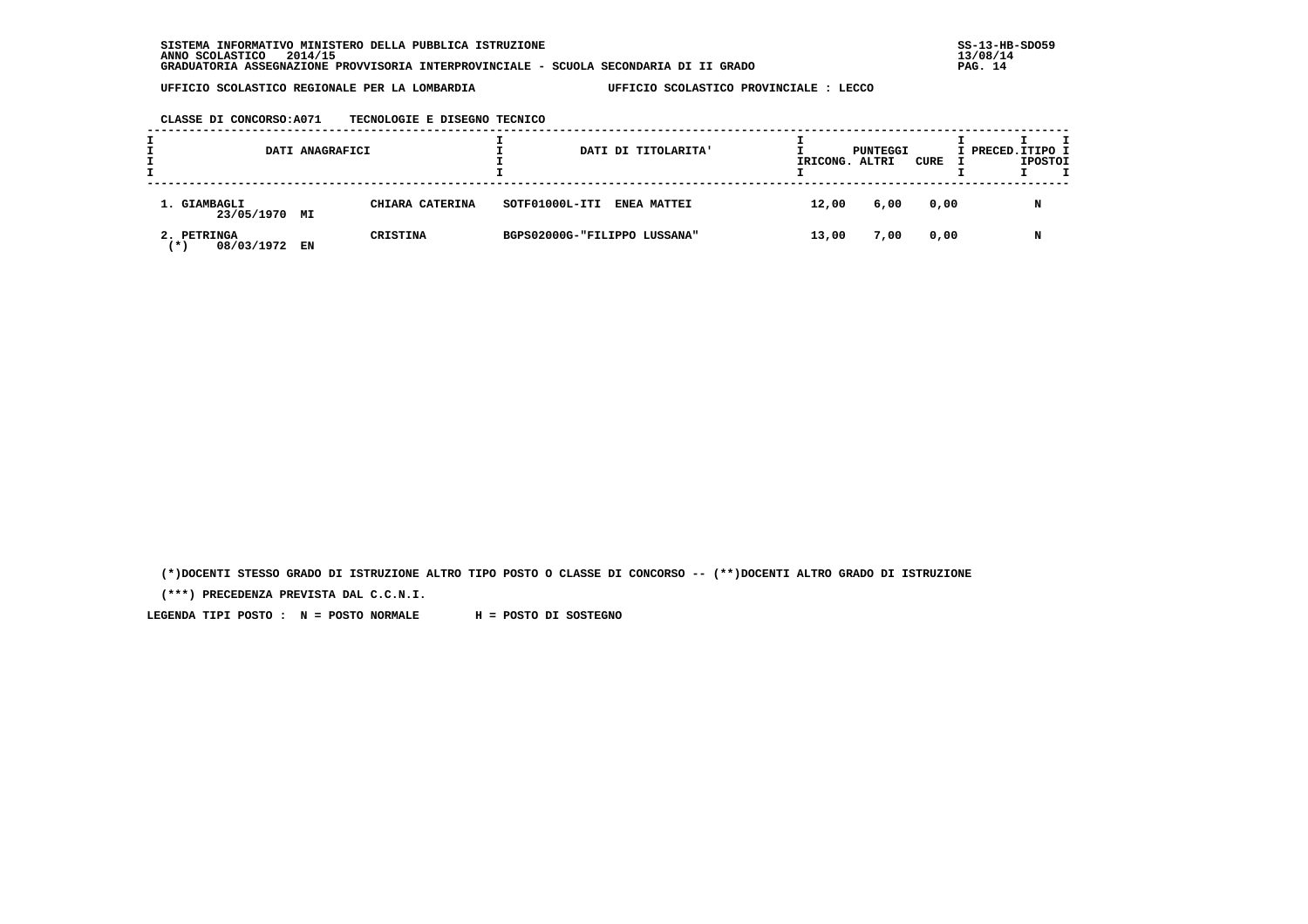**CLASSE DI CONCORSO:A071 TECNOLOGIE E DISEGNO TECNICO**

|                                    | DATI ANAGRAFICI |                 |                              | DATI DI TITOLARITA' | IRICONG. ALTRI | PUNTEGGI | CURE | I PRECED. ITIPO I | <b>IPOSTOI</b> |  |
|------------------------------------|-----------------|-----------------|------------------------------|---------------------|----------------|----------|------|-------------------|----------------|--|
| 1. GIAMBAGLI<br>23/05/1970 MI      |                 | CHIARA CATERINA | SOTF01000L-ITI               | <b>ENEA MATTEI</b>  | 12,00          | 6,00     | 0,00 |                   | N              |  |
| 2. PETRINGA<br>08/03/1972<br>′ ★ ' | EN              | <b>CRISTINA</b> | BGPS02000G-"FILIPPO LUSSANA" |                     | 13,00          | 7,00     | 0,00 |                   | N              |  |

 **(\*)DOCENTI STESSO GRADO DI ISTRUZIONE ALTRO TIPO POSTO O CLASSE DI CONCORSO -- (\*\*)DOCENTI ALTRO GRADO DI ISTRUZIONE**

 **(\*\*\*) PRECEDENZA PREVISTA DAL C.C.N.I.**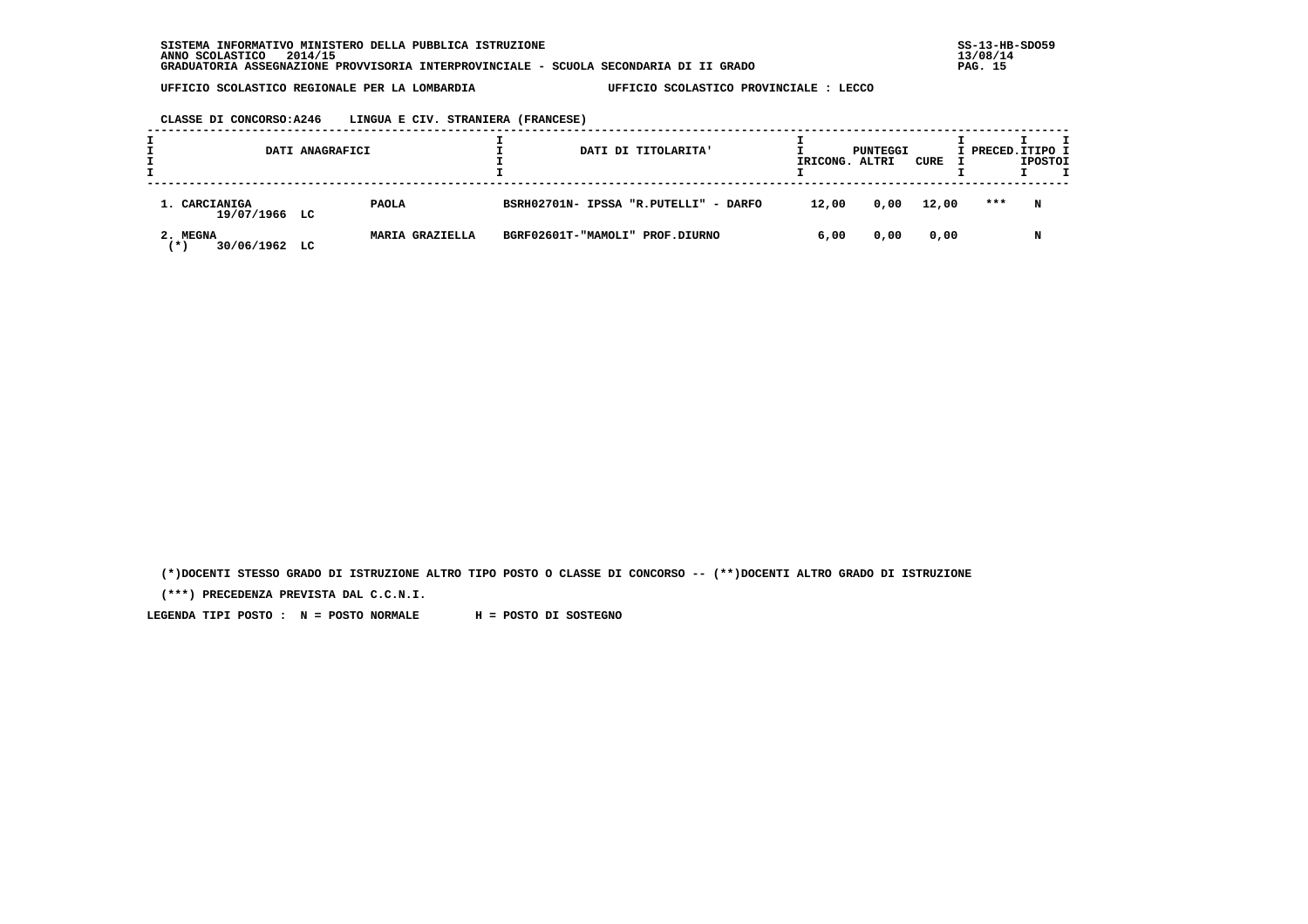**CLASSE DI CONCORSO:A246 LINGUA E CIV. STRANIERA (FRANCESE)**

|                                  | DATI ANAGRAFICI |                 |  | DATI DI TITOLARITA'                   | IRICONG. | PUNTEGGI<br>ALTRI | CURE  | I PRECED. ITIPO I | <b>IPOSTOI</b> |  |
|----------------------------------|-----------------|-----------------|--|---------------------------------------|----------|-------------------|-------|-------------------|----------------|--|
| 1. CARCIANIGA<br>19/07/1966 LC   |                 | <b>PAOLA</b>    |  | BSRH02701N- IPSSA "R.PUTELLI" - DARFO | 12,00    | 0,00              | 12,00 | ***               | N              |  |
| 2. MEGNA<br>30/06/1962 LC<br>(*) |                 | MARIA GRAZIELLA |  | BGRF02601T-"MAMOLI" PROF.DIURNO       | 6,00     | 0,00              | 0,00  |                   | N              |  |

 **(\*)DOCENTI STESSO GRADO DI ISTRUZIONE ALTRO TIPO POSTO O CLASSE DI CONCORSO -- (\*\*)DOCENTI ALTRO GRADO DI ISTRUZIONE**

 **(\*\*\*) PRECEDENZA PREVISTA DAL C.C.N.I.**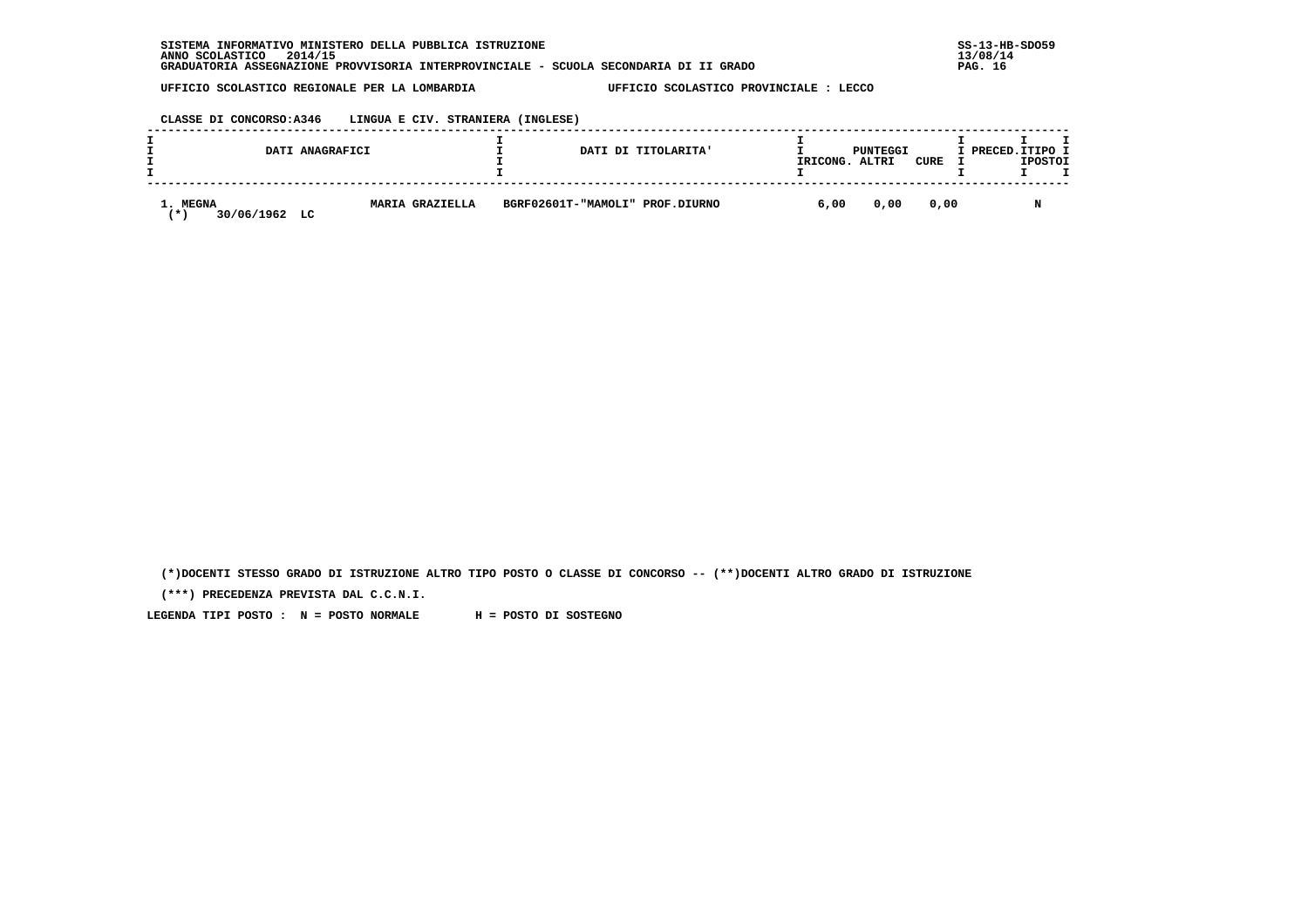**CLASSE DI CONCORSO:A346 LINGUA E CIV. STRANIERA (INGLESE)**

|                                     | DATI ANAGRAFICI        |                                 | DATI DI TITOLARITA'<br>IRICONG. |      | PUNTEGGI<br>ALTRI | CURE | I PRECED.ITIPO I | <b>IPOSTOI</b> |  |
|-------------------------------------|------------------------|---------------------------------|---------------------------------|------|-------------------|------|------------------|----------------|--|
| 1. MEGNA<br>30/06/1962<br>LC<br>′ ★ | <b>MARIA GRAZIELLA</b> | BGRF02601T-"MAMOLI" PROF.DIURNO |                                 | 6,00 | 0,00              | 0.00 |                  |                |  |

 **(\*)DOCENTI STESSO GRADO DI ISTRUZIONE ALTRO TIPO POSTO O CLASSE DI CONCORSO -- (\*\*)DOCENTI ALTRO GRADO DI ISTRUZIONE**

 **(\*\*\*) PRECEDENZA PREVISTA DAL C.C.N.I.**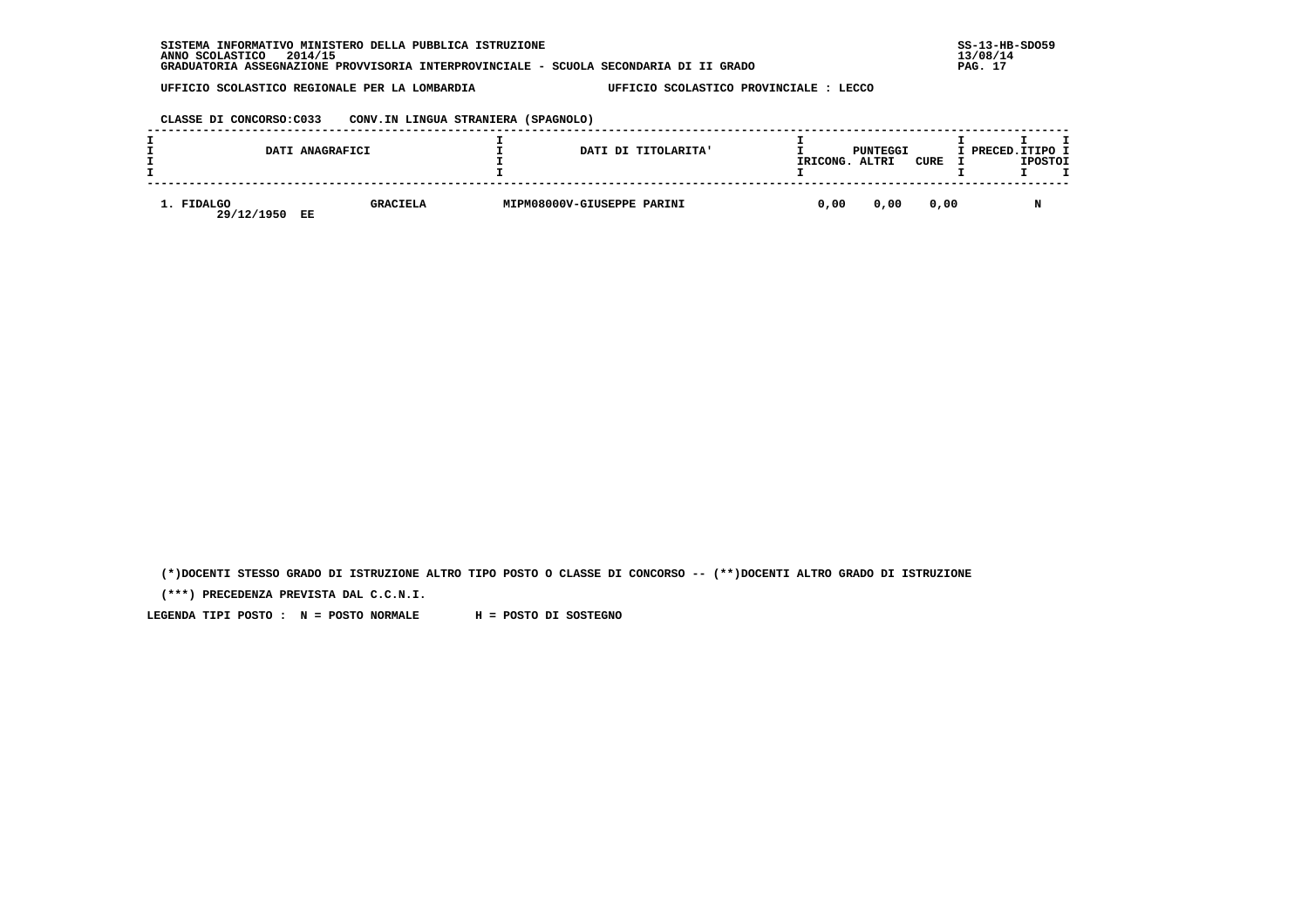| INFORMATIVO MINISTERO DELLA PUBBLICA ISTRUZIONE<br><b>SISTEMA</b>                     | $SS-13-HE$ |
|---------------------------------------------------------------------------------------|------------|
| 2014/15<br>ANNO SCOLASTICO                                                            | 13/08/14   |
| GRADUATORIA ASSEGNAZIONE PROVVISORIA INTERPROVINCIALE - SCUOLA SECONDARIA DI II GRADO | PAG.       |

 **CLASSE DI CONCORSO:C033 CONV.IN LINGUA STRANIERA (SPAGNOLO)**

|                          | DATI ANAGRAFICI       | DATI DI TITOLARITA'        | IRICONG. | PUNTEGGI<br>ALTRI | CURE | I PRECED.ITIPO I | <b>IPOSTOI</b> |  |
|--------------------------|-----------------------|----------------------------|----------|-------------------|------|------------------|----------------|--|
| 1. FIDALGO<br>29/12/1950 | <b>GRACIELA</b><br>EE | MIPM08000V-GIUSEPPE PARINI | 0.00     | 0,00              | 0,00 |                  |                |  |

 **(\*)DOCENTI STESSO GRADO DI ISTRUZIONE ALTRO TIPO POSTO O CLASSE DI CONCORSO -- (\*\*)DOCENTI ALTRO GRADO DI ISTRUZIONE**

 **(\*\*\*) PRECEDENZA PREVISTA DAL C.C.N.I.**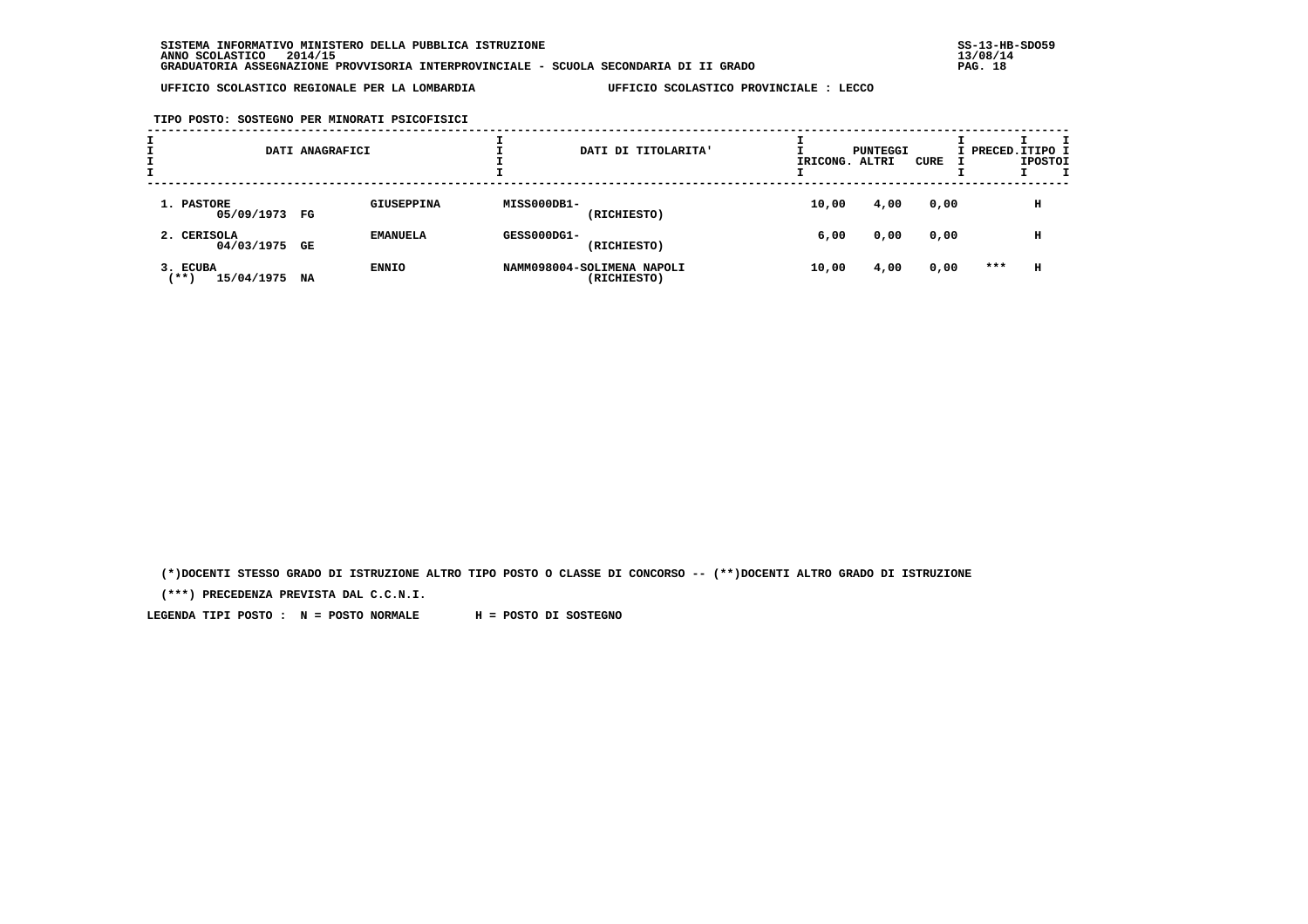**TIPO POSTO: SOSTEGNO PER MINORATI PSICOFISICI**

| I | DATI ANAGRAFICI                   |    |                   | DATI DI TITOLARITA' | IRICONG. ALTRI                            | PUNTEGGI | CURE | I PRECED. ITIPO I | <b>IPOSTOI</b> |   |  |
|---|-----------------------------------|----|-------------------|---------------------|-------------------------------------------|----------|------|-------------------|----------------|---|--|
|   | 1. PASTORE<br>05/09/1973 FG       |    | <b>GIUSEPPINA</b> | MISS000DB1-         | (RICHIESTO)                               | 10,00    | 4,00 | 0,00              |                | н |  |
|   | 2. CERISOLA<br>04/03/1975 GE      |    | <b>EMANUELA</b>   | GESS000DG1-         | (RICHIESTO)                               | 6,00     | 0,00 | 0,00              |                | н |  |
|   | 3. ECUBA<br>$***$ )<br>15/04/1975 | NA | <b>ENNIO</b>      |                     | NAMM098004-SOLIMENA NAPOLI<br>(RICHIESTO) | 10,00    | 4,00 | 0,00              | ***            | н |  |

 **(\*)DOCENTI STESSO GRADO DI ISTRUZIONE ALTRO TIPO POSTO O CLASSE DI CONCORSO -- (\*\*)DOCENTI ALTRO GRADO DI ISTRUZIONE**

 **(\*\*\*) PRECEDENZA PREVISTA DAL C.C.N.I.**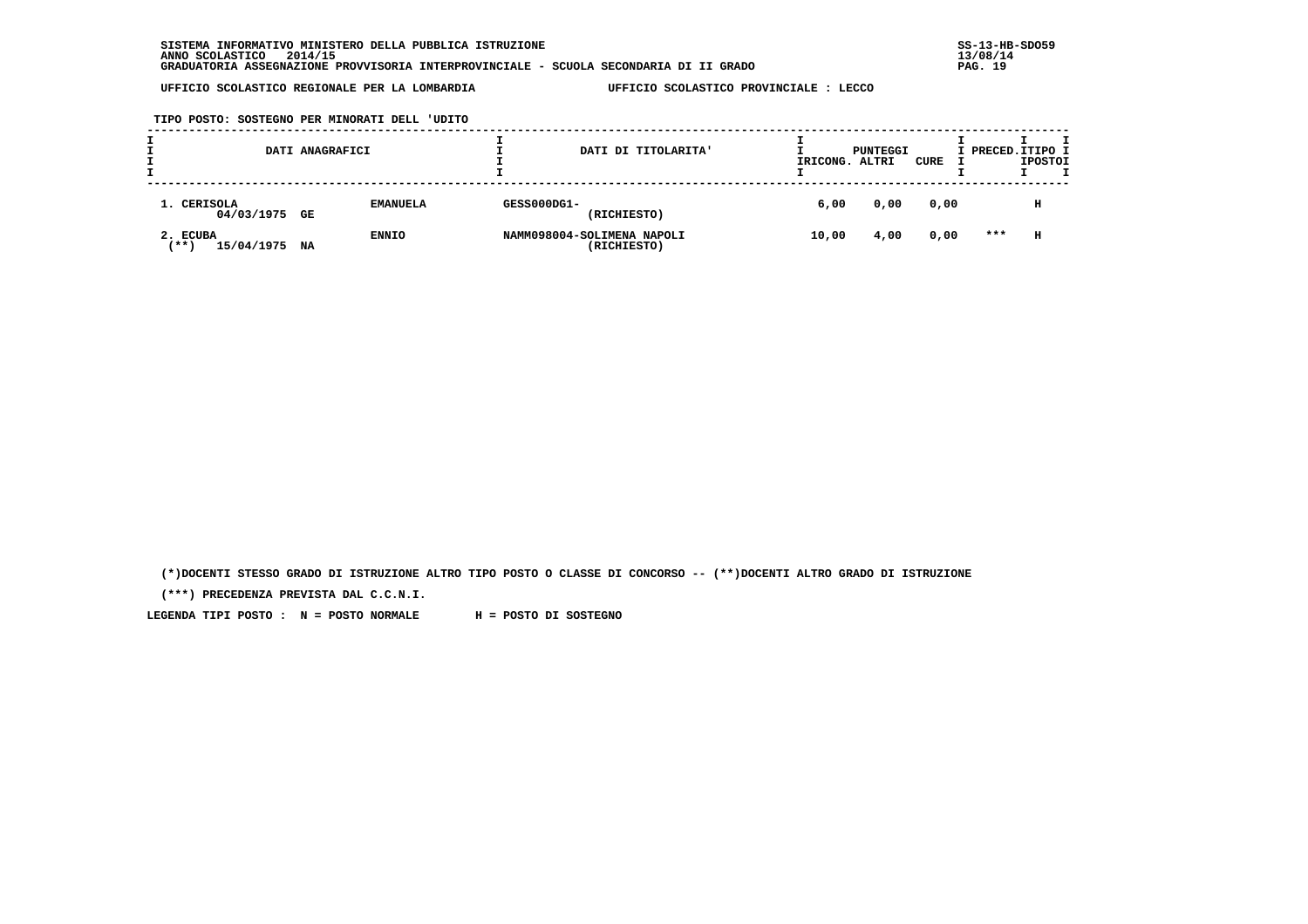**TIPO POSTO: SOSTEGNO PER MINORATI DELL 'UDITO**

|                                   | DATI ANAGRAFICI |                 |             | DATI DI TITOLARITA'                       | IRICONG. | PUNTEGGI<br>ALTRI | CURE | I PRECED.ITIPO I | <b>IPOSTOI</b> |  |
|-----------------------------------|-----------------|-----------------|-------------|-------------------------------------------|----------|-------------------|------|------------------|----------------|--|
| 1. CERISOLA<br>04/03/1975 GE      |                 | <b>EMANUELA</b> | GESS000DG1- | (RICHIESTO)                               | 6,00     | 0,00              | 0,00 |                  | н              |  |
| 2. ECUBA<br>' * * \<br>15/04/1975 | NA              | <b>ENNIO</b>    |             | NAMM098004-SOLIMENA NAPOLI<br>(RICHIESTO) | 10,00    | 4,00              | 0,00 | ***              | н              |  |

 **(\*)DOCENTI STESSO GRADO DI ISTRUZIONE ALTRO TIPO POSTO O CLASSE DI CONCORSO -- (\*\*)DOCENTI ALTRO GRADO DI ISTRUZIONE**

 **(\*\*\*) PRECEDENZA PREVISTA DAL C.C.N.I.**